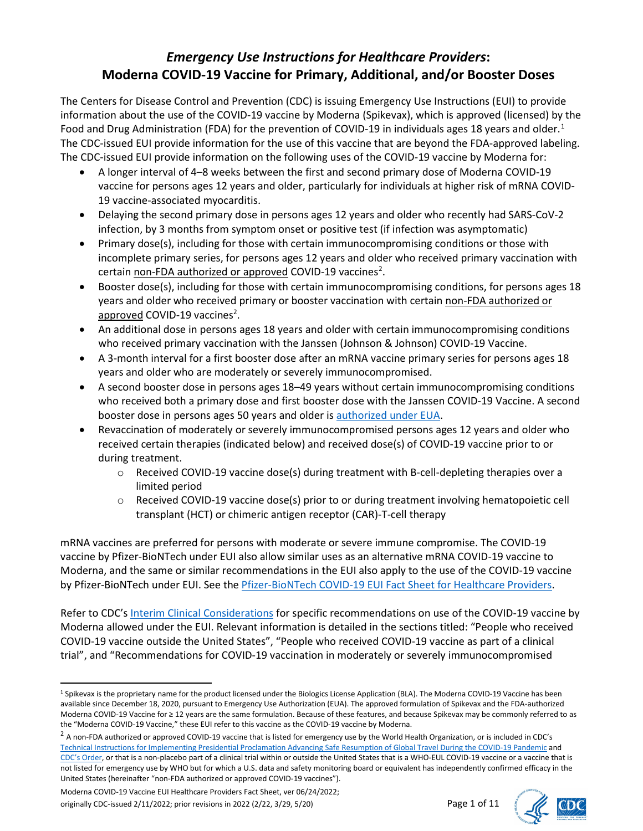# *Emergency Use Instructions for Healthcare Providers***: Moderna COVID-19 Vaccine for Primary, Additional, and/or Booster Doses**

The Centers for Disease Control and Prevention (CDC) is issuing Emergency Use Instructions (EUI) to provide information about the use of the COVID-19 vaccine by Moderna (Spikevax), which is approved (licensed) by the Food and Drug Administration (FDA) for the prevention of COVID-[1](#page-0-0)9 in individuals ages 18 years and older.<sup>1</sup> The CDC-issued EUI provide information for the use of this vaccine that are beyond the FDA-approved labeling. The CDC-issued EUI provide information on the following uses of the COVID-19 vaccine by Moderna for:

- A longer interval of 4–8 weeks between the first and second primary dose of Moderna COVID-19 vaccine for persons ages 12 years and older, particularly for individuals at higher risk of mRNA COVID-19 vaccine-associated myocarditis.
- Delaying the second primary dose in persons ages 12 years and older who recently had SARS-CoV-2 infection, by 3 months from symptom onset or positive test (if infection was asymptomatic)
- Primary dose(s), including for those with certain immunocompromising conditions or those with incomplete primary series, for persons ages 12 years and older who received primary vaccination with certain non-FDA authorized or approved COVID-19 vaccines<sup>[2](#page-0-1)</sup>.
- Booster dose(s), including for those with certain immunocompromising conditions, for persons ages 18 years and older who received primary or booster vaccination with certain non-FDA authorized or approved COVID-19 vaccines<sup>2</sup>.
- An additional dose in persons ages 18 years and older with certain immunocompromising conditions who received primary vaccination with the Janssen (Johnson & Johnson) COVID-19 Vaccine.
- A 3-month interval for a first booster dose after an mRNA vaccine primary series for persons ages 18 years and older who are moderately or severely immunocompromised.
- A second booster dose in persons ages 18–49 years without certain immunocompromising conditions who received both a primary dose and first booster dose with the Janssen COVID-19 Vaccine. A second booster dose in persons ages 50 years and older is [authorized under EUA.](https://www.fda.gov/news-events/press-announcements/coronavirus-covid-19-update-fda-authorizes-second-booster-dose-two-covid-19-vaccines-older-and)
- Revaccination of moderately or severely immunocompromised persons ages 12 years and older who received certain therapies (indicated below) and received dose(s) of COVID-19 vaccine prior to or during treatment.
	- o Received COVID-19 vaccine dose(s) during treatment with B-cell-depleting therapies over a limited period
	- $\circ$  Received COVID-19 vaccine dose(s) prior to or during treatment involving hematopoietic cell transplant (HCT) or chimeric antigen receptor (CAR)-T-cell therapy

mRNA vaccines are preferred for persons with moderate or severe immune compromise. The COVID-19 vaccine by Pfizer-BioNTech under EUI also allow similar uses as an alternative mRNA COVID-19 vaccine to Moderna, and the same or similar recommendations in the EUI also apply to the use of the COVID-19 vaccine by Pfizer-BioNTech under EUI. See the [Pfizer-BioNTech COVID-19 EUI Fact Sheet for Healthcare Providers.](https://www.cdc.gov/vaccines/covid-19/eui/downloads/pfizer-HCP.pdf)

Refer to CDC's [Interim Clinical Considerations](https://www.cdc.gov/vaccines/covid-19/clinical-considerations/covid-19-vaccines-us.html) for specific recommendations on use of the COVID-19 vaccine by Moderna allowed under the EUI. Relevant information is detailed in the sections titled: "People who received COVID-19 vaccine outside the United States", "People who received COVID-19 vaccine as part of a clinical trial", and "Recommendations for COVID-19 vaccination in moderately or severely immunocompromised



<span id="page-0-0"></span><sup>&</sup>lt;sup>1</sup> Spikevax is the proprietary name for the product licensed under the Biologics License Application (BLA). The Moderna COVID-19 Vaccine has been available since December 18, 2020, pursuant to Emergency Use Authorization (EUA). The approved formulation of Spikevax and the FDA-authorized Moderna COVID-19 Vaccine for ≥ 12 years are the same formulation. Because of these features, and because Spikevax may be commonly referred to as the "Moderna COVID-19 Vaccine," these EUI refer to this vaccine as the COVID-19 vaccine by Moderna.

<span id="page-0-1"></span> $^2$  A non-FDA authorized or approved COVID-19 vaccine that is listed for emergency use by the World Health Organization, or is included in CDC's [Technical Instructions for Implementing Presidential Proclamation Advancing Safe Resumption of Global Travel During the COVID-19 Pandemic](https://www.cdc.gov/quarantine/order-safe-travel/technical-instructions.html) and [CDC's Order,](https://www.cdc.gov/quarantine/order-safe-travel.html) or that is a non-placebo part of a clinical trial within or outside the United States that is a WHO-EUL COVID-19 vaccine or a vaccine that is not listed for emergency use by WHO but for which a U.S. data and safety monitoring board or equivalent has independently confirmed efficacy in the United States (hereinafter "non-FDA authorized or approved COVID-19 vaccines").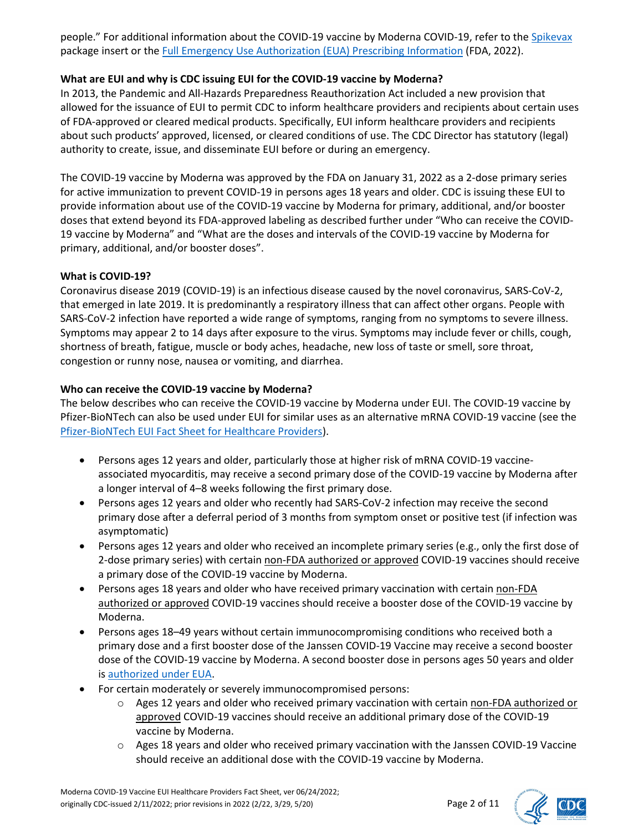people." For additional information about the COVID-19 vaccine by Moderna COVID-19, refer to the [Spikevax](https://www.fda.gov/emergency-preparedness-and-response/coronavirus-disease-2019-covid-19/moderna-covid-19-vaccine) package insert or the [Full Emergency Use Authorization \(EUA\) Prescribing Information](https://www.fda.gov/emergency-preparedness-and-response/coronavirus-disease-2019-covid-19/moderna-covid-19-vaccine) (FDA, 2022).

## **What are EUI and why is CDC issuing EUI for the COVID-19 vaccine by Moderna?**

In 2013, the Pandemic and All-Hazards Preparedness Reauthorization Act included a new provision that allowed for the issuance of EUI to permit CDC to inform healthcare providers and recipients about certain uses of FDA-approved or cleared medical products. Specifically, EUI inform healthcare providers and recipients about such products' approved, licensed, or cleared conditions of use. The CDC Director has statutory (legal) authority to create, issue, and disseminate EUI before or during an emergency.

The COVID-19 vaccine by Moderna was approved by the FDA on January 31, 2022 as a 2-dose primary series for active immunization to prevent COVID-19 in persons ages 18 years and older. CDC is issuing these EUI to provide information about use of the COVID-19 vaccine by Moderna for primary, additional, and/or booster doses that extend beyond its FDA-approved labeling as described further under "Who can receive the COVID-19 vaccine by Moderna" and "What are the doses and intervals of the COVID-19 vaccine by Moderna for primary, additional, and/or booster doses".

#### **What is COVID-19?**

Coronavirus disease 2019 (COVID-19) is an infectious disease caused by the novel coronavirus, SARS-CoV-2, that emerged in late 2019. It is predominantly a respiratory illness that can affect other organs. People with SARS-CoV-2 infection have reported a wide range of symptoms, ranging from no symptoms to severe illness. Symptoms may appear 2 to 14 days after exposure to the virus. Symptoms may include fever or chills, cough, shortness of breath, fatigue, muscle or body aches, headache, new loss of taste or smell, sore throat, congestion or runny nose, nausea or vomiting, and diarrhea.

#### **Who can receive the COVID-19 vaccine by Moderna?**

The below describes who can receive the COVID-19 vaccine by Moderna under EUI. The COVID-19 vaccine by Pfizer-BioNTech can also be used under EUI for similar uses as an alternative mRNA COVID-19 vaccine (see the Pfizer-BioNTech [EUI Fact Sheet for Healthcare Providers\)](https://www.cdc.gov/vaccines/covid-19/eui/downloads/pfizer-HCP.pdf).

- Persons ages 12 years and older, particularly those at higher risk of mRNA COVID-19 vaccineassociated myocarditis, may receive a second primary dose of the COVID-19 vaccine by Moderna after a longer interval of 4–8 weeks following the first primary dose.
- Persons ages 12 years and older who recently had SARS-CoV-2 infection may receive the second primary dose after a deferral period of 3 months from symptom onset or positive test (if infection was asymptomatic)
- Persons ages 12 years and older who received an incomplete primary series (e.g., only the first dose of 2-dose primary series) with certain non-FDA authorized or approved COVID-19 vaccines should receive a primary dose of the COVID-19 vaccine by Moderna.
- Persons ages 18 years and older who have received primary vaccination with certain non-FDA authorized or approved COVID-19 vaccines should receive a booster dose of the COVID-19 vaccine by Moderna.
- Persons ages 18–49 years without certain immunocompromising conditions who received both a primary dose and a first booster dose of the Janssen COVID-19 Vaccine may receive a second booster dose of the COVID-19 vaccine by Moderna. A second booster dose in persons ages 50 years and older is [authorized under EUA.](https://www.fda.gov/news-events/press-announcements/coronavirus-covid-19-update-fda-authorizes-second-booster-dose-two-covid-19-vaccines-older-and)
- For certain moderately or severely immunocompromised persons:
	- $\circ$  Ages 12 years and older who received primary vaccination with certain non-FDA authorized or approved COVID-19 vaccines should receive an additional primary dose of the COVID-19 vaccine by Moderna.
	- $\circ$  Ages 18 years and older who received primary vaccination with the Janssen COVID-19 Vaccine should receive an additional dose with the COVID-19 vaccine by Moderna.

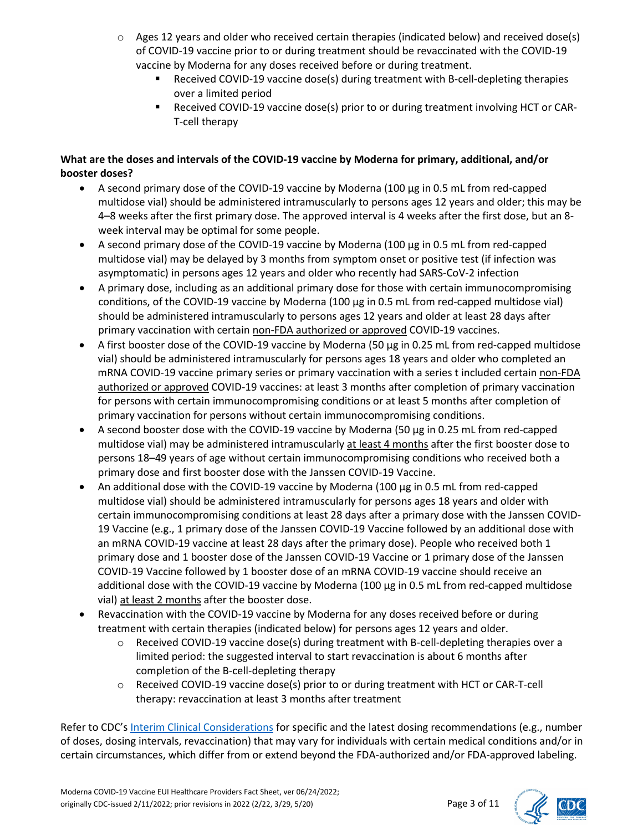- $\circ$  Ages 12 years and older who received certain therapies (indicated below) and received dose(s) of COVID-19 vaccine prior to or during treatment should be revaccinated with the COVID-19 vaccine by Moderna for any doses received before or during treatment.
	- Received COVID-19 vaccine dose(s) during treatment with B-cell-depleting therapies over a limited period
	- Received COVID-19 vaccine dose(s) prior to or during treatment involving HCT or CAR-T-cell therapy

## **What are the doses and intervals of the COVID-19 vaccine by Moderna for primary, additional, and/or booster doses?**

- A second primary dose of the COVID-19 vaccine by Moderna (100 μg in 0.5 mL from red-capped multidose vial) should be administered intramuscularly to persons ages 12 years and older; this may be 4–8 weeks after the first primary dose. The approved interval is 4 weeks after the first dose, but an 8 week interval may be optimal for some people.
- A second primary dose of the COVID-19 vaccine by Moderna (100 μg in 0.5 mL from red-capped multidose vial) may be delayed by 3 months from symptom onset or positive test (if infection was asymptomatic) in persons ages 12 years and older who recently had SARS-CoV-2 infection
- A primary dose, including as an additional primary dose for those with certain immunocompromising conditions, of the COVID-19 vaccine by Moderna (100 μg in 0.5 mL from red-capped multidose vial) should be administered intramuscularly to persons ages 12 years and older at least 28 days after primary vaccination with certain non-FDA authorized or approved COVID-19 vaccines.
- A first booster dose of the COVID-19 vaccine by Moderna (50 μg in 0.25 mL from red-capped multidose vial) should be administered intramuscularly for persons ages 18 years and older who completed an mRNA COVID-19 vaccine primary series or primary vaccination with a series t included certain non-FDA authorized or approved COVID-19 vaccines: at least 3 months after completion of primary vaccination for persons with certain immunocompromising conditions or at least 5 months after completion of primary vaccination for persons without certain immunocompromising conditions.
- A second booster dose with the COVID-19 vaccine by Moderna (50 μg in 0.25 mL from red-capped multidose vial) may be administered intramuscularly at least 4 months after the first booster dose to persons 18–49 years of age without certain immunocompromising conditions who received both a primary dose and first booster dose with the Janssen COVID-19 Vaccine.
- An additional dose with the COVID-19 vaccine by Moderna (100 μg in 0.5 mL from red-capped multidose vial) should be administered intramuscularly for persons ages 18 years and older with certain immunocompromising conditions at least 28 days after a primary dose with the Janssen COVID-19 Vaccine (e.g., 1 primary dose of the Janssen COVID-19 Vaccine followed by an additional dose with an mRNA COVID-19 vaccine at least 28 days after the primary dose). People who received both 1 primary dose and 1 booster dose of the Janssen COVID-19 Vaccine or 1 primary dose of the Janssen COVID-19 Vaccine followed by 1 booster dose of an mRNA COVID-19 vaccine should receive an additional dose with the COVID-19 vaccine by Moderna (100 μg in 0.5 mL from red-capped multidose vial) at least 2 months after the booster dose.
- Revaccination with the COVID-19 vaccine by Moderna for any doses received before or during treatment with certain therapies (indicated below) for persons ages 12 years and older.
	- $\circ$  Received COVID-19 vaccine dose(s) during treatment with B-cell-depleting therapies over a limited period: the suggested interval to start revaccination is about 6 months after completion of the B-cell-depleting therapy
	- o Received COVID-19 vaccine dose(s) prior to or during treatment with HCT or CAR-T-cell therapy: revaccination at least 3 months after treatment

Refer to CDC's [Interim Clinical Considerations](https://www.cdc.gov/vaccines/covid-19/clinical-considerations/covid-19-vaccines-us.html) for specific and the latest dosing recommendations (e.g., number of doses, dosing intervals, revaccination) that may vary for individuals with certain medical conditions and/or in certain circumstances, which differ from or extend beyond the FDA-authorized and/or FDA-approved labeling.



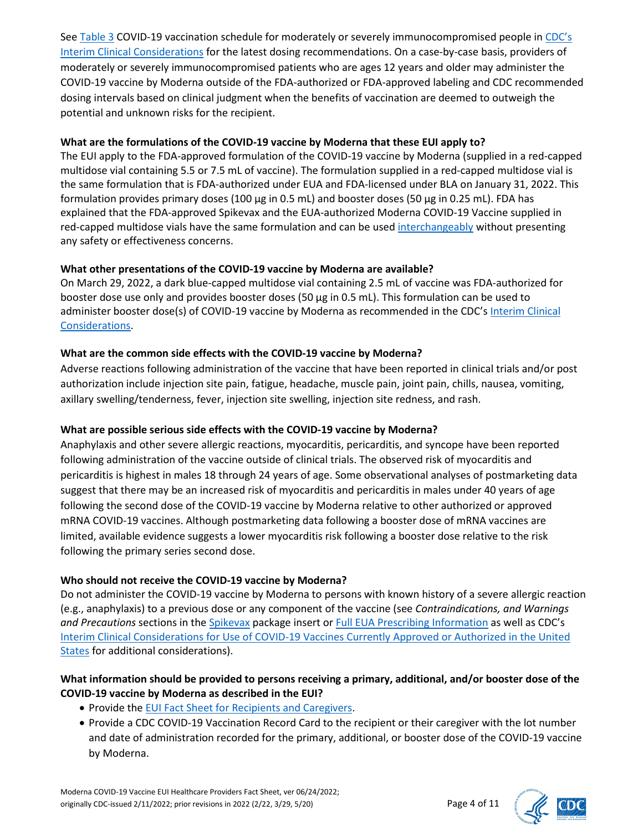See [Table 3](https://www.cdc.gov/vaccines/covid-19/clinical-considerations/interim-considerations-us.html#table-03) COVID-19 vaccination schedule for moderately or severely immunocompromised people in CDC's [Interim Clinical Considerations](https://www.cdc.gov/vaccines/covid-19/clinical-considerations/covid-19-vaccines-us.html) for the latest dosing recommendations. On a case-by-case basis, providers of moderately or severely immunocompromised patients who are ages 12 years and older may administer the COVID-19 vaccine by Moderna outside of the FDA-authorized or FDA-approved labeling and CDC recommended dosing intervals based on clinical judgment when the benefits of vaccination are deemed to outweigh the potential and unknown risks for the recipient.

#### **What are the formulations of the COVID-19 vaccine by Moderna that these EUI apply to?**

The EUI apply to the FDA-approved formulation of the COVID-19 vaccine by Moderna (supplied in a red-capped multidose vial containing 5.5 or 7.5 mL of vaccine). The formulation supplied in a red-capped multidose vial is the same formulation that is FDA-authorized under EUA and FDA-licensed under BLA on January 31, 2022. This formulation provides primary doses (100 μg in 0.5 mL) and booster doses (50 μg in 0.25 mL). FDA has explained that the FDA-approved Spikevax and the EUA-authorized Moderna COVID-19 Vaccine supplied in red-capped multidose vials have the same formulation and can be used [interchangeably](https://www.fda.gov/vaccines-blood-biologics/qa-spikevax-covid-19-vaccine-mrna) without presenting any safety or effectiveness concerns.

### **What other presentations of the COVID-19 vaccine by Moderna are available?**

On March 29, 2022, a dark blue-capped multidose vial containing 2.5 mL of vaccine was FDA-authorized for booster dose use only and provides booster doses (50 μg in 0.5 mL). This formulation can be used to administer booster dose(s) of COVID-19 vaccine by Moderna as recommended in the CDC's [Interim Clinical](https://www.cdc.gov/vaccines/covid-19/clinical-considerations/covid-19-vaccines-us.html)  [Considerations.](https://www.cdc.gov/vaccines/covid-19/clinical-considerations/covid-19-vaccines-us.html)

#### **What are the common side effects with the COVID-19 vaccine by Moderna?**

Adverse reactions following administration of the vaccine that have been reported in clinical trials and/or post authorization include injection site pain, fatigue, headache, muscle pain, joint pain, chills, nausea, vomiting, axillary swelling/tenderness, fever, injection site swelling, injection site redness, and rash.

### **What are possible serious side effects with the COVID-19 vaccine by Moderna?**

Anaphylaxis and other severe allergic reactions, myocarditis, pericarditis, and syncope have been reported following administration of the vaccine outside of clinical trials. The observed risk of myocarditis and pericarditis is highest in males 18 through 24 years of age. Some observational analyses of postmarketing data suggest that there may be an increased risk of myocarditis and pericarditis in males under 40 years of age following the second dose of the COVID-19 vaccine by Moderna relative to other authorized or approved mRNA COVID-19 vaccines. Although postmarketing data following a booster dose of mRNA vaccines are limited, available evidence suggests a lower myocarditis risk following a booster dose relative to the risk following the primary series second dose.

### **Who should not receive the COVID-19 vaccine by Moderna?**

Do not administer the COVID-19 vaccine by Moderna to persons with known history of a severe allergic reaction (e.g., anaphylaxis) to a previous dose or any component of the vaccine (see *Contraindications, and Warnings and Precautions* sections in the [Spikevax](https://www.fda.gov/media/155675/download) package insert or [Full EUA Prescribing Information](https://www.fda.gov/media/144637/download) as well as CDC's [Interim Clinical Considerations for Use of COVID-19 Vaccines Currently Approved or Authorized in the United](https://www.cdc.gov/vaccines/covid-19/clinical-considerations/covid-19-vaccines-us.html)  [States](https://www.cdc.gov/vaccines/covid-19/clinical-considerations/covid-19-vaccines-us.html) for additional considerations).

#### **What information should be provided to persons receiving a primary, additional, and/or booster dose of the COVID-19 vaccine by Moderna as described in the EUI?**

- Provide th[e EUI Fact Sheet for Recipients and Caregivers.](https://www.cdc.gov/vaccines/covid-19/eui/downloads/moderna-Caregiver.pdf)
- Provide a CDC COVID-19 Vaccination Record Card to the recipient or their caregiver with the lot number and date of administration recorded for the primary, additional, or booster dose of the COVID-19 vaccine by Moderna.

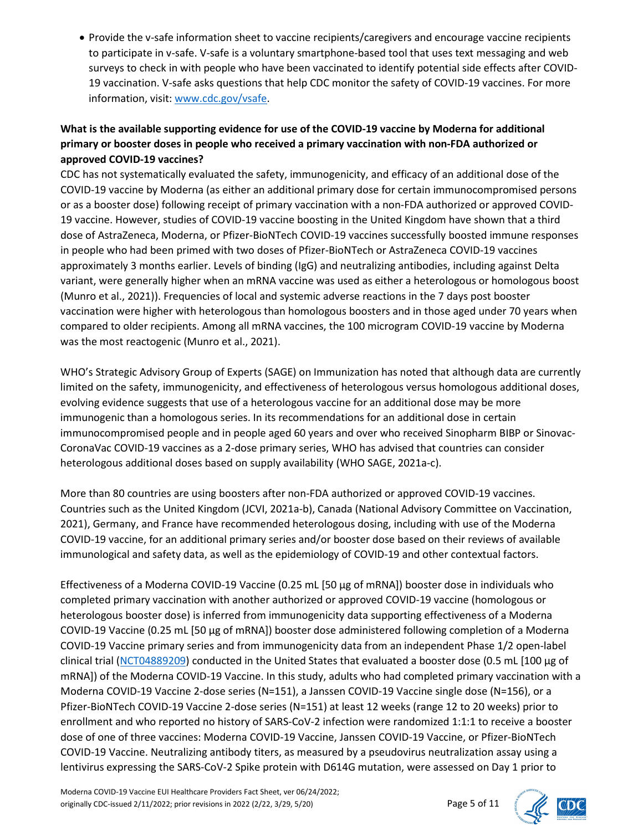• Provide the v-safe information sheet to vaccine recipients/caregivers and encourage vaccine recipients to participate in v-safe. V-safe is a voluntary smartphone-based tool that uses text messaging and web surveys to check in with people who have been vaccinated to identify potential side effects after COVID-19 vaccination. V-safe asks questions that help CDC monitor the safety of COVID-19 vaccines. For more information, visit: [www.cdc.gov/vsafe.](http://www.cdc.gov/vsafe)

## **What is the available supporting evidence for use of the COVID-19 vaccine by Moderna for additional primary or booster doses in people who received a primary vaccination with non-FDA authorized or approved COVID-19 vaccines?**

CDC has not systematically evaluated the safety, immunogenicity, and efficacy of an additional dose of the COVID-19 vaccine by Moderna (as either an additional primary dose for certain immunocompromised persons or as a booster dose) following receipt of primary vaccination with a non-FDA authorized or approved COVID-19 vaccine. However, studies of COVID-19 vaccine boosting in the United Kingdom have shown that a third dose of AstraZeneca, Moderna, or Pfizer-BioNTech COVID-19 vaccines successfully boosted immune responses in people who had been primed with two doses of Pfizer-BioNTech or AstraZeneca COVID-19 vaccines approximately 3 months earlier. Levels of binding (IgG) and neutralizing antibodies, including against Delta variant, were generally higher when an mRNA vaccine was used as either a heterologous or homologous boost (Munro et al., 2021)). Frequencies of local and systemic adverse reactions in the 7 days post booster vaccination were higher with heterologous than homologous boosters and in those aged under 70 years when compared to older recipients. Among all mRNA vaccines, the 100 microgram COVID-19 vaccine by Moderna was the most reactogenic (Munro et al., 2021).

WHO's Strategic Advisory Group of Experts (SAGE) on Immunization has noted that although data are currently limited on the safety, immunogenicity, and effectiveness of heterologous versus homologous additional doses, evolving evidence suggests that use of a heterologous vaccine for an additional dose may be more immunogenic than a homologous series. In its recommendations for an additional dose in certain immunocompromised people and in people aged 60 years and over who received Sinopharm BIBP or Sinovac-CoronaVac COVID-19 vaccines as a 2-dose primary series, WHO has advised that countries can consider heterologous additional doses based on supply availability (WHO SAGE, 2021a-c).

More than 80 countries are using boosters after non-FDA authorized or approved COVID-19 vaccines. Countries such as the United Kingdom (JCVI, 2021a-b), Canada (National Advisory Committee on Vaccination, 2021), Germany, and France have recommended heterologous dosing, including with use of the Moderna COVID-19 vaccine, for an additional primary series and/or booster dose based on their reviews of available immunological and safety data, as well as the epidemiology of COVID-19 and other contextual factors.

Effectiveness of a Moderna COVID-19 Vaccine (0.25 mL [50 μg of mRNA]) booster dose in individuals who completed primary vaccination with another authorized or approved COVID-19 vaccine (homologous or heterologous booster dose) is inferred from immunogenicity data supporting effectiveness of a Moderna COVID-19 Vaccine (0.25 mL [50 μg of mRNA]) booster dose administered following completion of a Moderna COVID-19 Vaccine primary series and from immunogenicity data from an independent Phase 1/2 open-label clinical trial [\(NCT04889209\)](https://clinicaltrials.gov/ct2/show/NCT04889209) conducted in the United States that evaluated a booster dose (0.5 mL [100 μg of mRNA]) of the Moderna COVID-19 Vaccine. In this study, adults who had completed primary vaccination with a Moderna COVID-19 Vaccine 2-dose series (N=151), a Janssen COVID-19 Vaccine single dose (N=156), or a Pfizer-BioNTech COVID-19 Vaccine 2-dose series (N=151) at least 12 weeks (range 12 to 20 weeks) prior to enrollment and who reported no history of SARS-CoV-2 infection were randomized 1:1:1 to receive a booster dose of one of three vaccines: Moderna COVID-19 Vaccine, Janssen COVID-19 Vaccine, or Pfizer-BioNTech COVID-19 Vaccine. Neutralizing antibody titers, as measured by a pseudovirus neutralization assay using a lentivirus expressing the SARS-CoV-2 Spike protein with D614G mutation, were assessed on Day 1 prior to

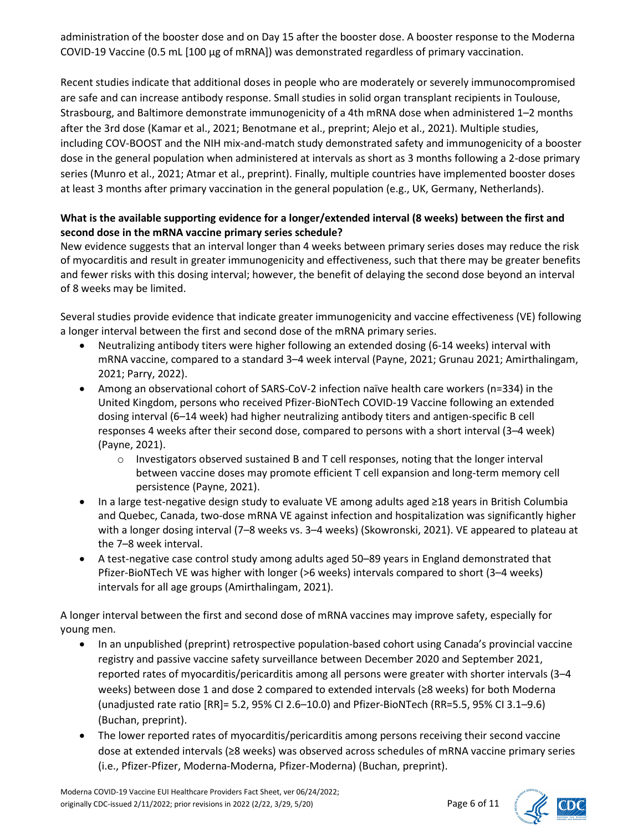administration of the booster dose and on Day 15 after the booster dose. A booster response to the Moderna COVID-19 Vaccine (0.5 mL [100 μg of mRNA]) was demonstrated regardless of primary vaccination.

Recent studies indicate that additional doses in people who are moderately or severely immunocompromised are safe and can increase antibody response. Small studies in solid organ transplant recipients in Toulouse, Strasbourg, and Baltimore demonstrate immunogenicity of a 4th mRNA dose when administered 1–2 months after the 3rd dose (Kamar et al., 2021; Benotmane et al., preprint; Alejo et al., 2021). Multiple studies, including COV-BOOST and the NIH mix-and-match study demonstrated safety and immunogenicity of a booster dose in the general population when administered at intervals as short as 3 months following a 2-dose primary series (Munro et al., 2021; Atmar et al., preprint). Finally, multiple countries have implemented booster doses at least 3 months after primary vaccination in the general population (e.g., UK, Germany, Netherlands).

## **What is the available supporting evidence for a longer/extended interval (8 weeks) between the first and second dose in the mRNA vaccine primary series schedule?**

New evidence suggests that an interval longer than 4 weeks between primary series doses may reduce the risk of myocarditis and result in greater immunogenicity and effectiveness, such that there may be greater benefits and fewer risks with this dosing interval; however, the benefit of delaying the second dose beyond an interval of 8 weeks may be limited.

Several studies provide evidence that indicate greater immunogenicity and vaccine effectiveness (VE) following a longer interval between the first and second dose of the mRNA primary series.

- Neutralizing antibody titers were higher following an extended dosing (6-14 weeks) interval with mRNA vaccine, compared to a standard 3–4 week interval (Payne, 2021; Grunau 2021; Amirthalingam, 2021; Parry, 2022).
- Among an observational cohort of SARS-CoV-2 infection naïve health care workers (n=334) in the United Kingdom, persons who received Pfizer-BioNTech COVID-19 Vaccine following an extended dosing interval (6–14 week) had higher neutralizing antibody titers and antigen-specific B cell responses 4 weeks after their second dose, compared to persons with a short interval (3–4 week) (Payne, 2021).
	- o Investigators observed sustained B and T cell responses, noting that the longer interval between vaccine doses may promote efficient T cell expansion and long-term memory cell persistence (Payne, 2021).
- In a large test-negative design study to evaluate VE among adults aged ≥18 years in British Columbia and Quebec, Canada, two-dose mRNA VE against infection and hospitalization was significantly higher with a longer dosing interval (7–8 weeks vs. 3–4 weeks) (Skowronski, 2021). VE appeared to plateau at the 7–8 week interval.
- A test-negative case control study among adults aged 50–89 years in England demonstrated that Pfizer-BioNTech VE was higher with longer (>6 weeks) intervals compared to short (3–4 weeks) intervals for all age groups (Amirthalingam, 2021).

A longer interval between the first and second dose of mRNA vaccines may improve safety, especially for young men.

- In an unpublished (preprint) retrospective population-based cohort using Canada's provincial vaccine registry and passive vaccine safety surveillance between December 2020 and September 2021, reported rates of myocarditis/pericarditis among all persons were greater with shorter intervals (3–4 weeks) between dose 1 and dose 2 compared to extended intervals (≥8 weeks) for both Moderna (unadjusted rate ratio [RR]= 5.2, 95% CI 2.6–10.0) and Pfizer-BioNTech (RR=5.5, 95% CI 3.1–9.6) (Buchan, preprint).
- The lower reported rates of myocarditis/pericarditis among persons receiving their second vaccine dose at extended intervals (≥8 weeks) was observed across schedules of mRNA vaccine primary series (i.e., Pfizer-Pfizer, Moderna-Moderna, Pfizer-Moderna) (Buchan, preprint).



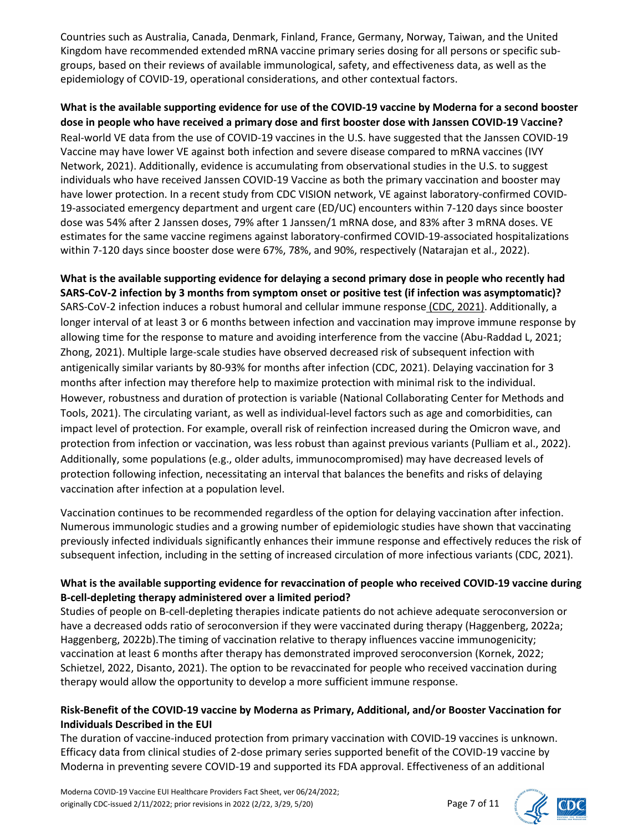Countries such as Australia, Canada, Denmark, Finland, France, Germany, Norway, Taiwan, and the United Kingdom have recommended extended mRNA vaccine primary series dosing for all persons or specific subgroups, based on their reviews of available immunological, safety, and effectiveness data, as well as the epidemiology of COVID-19, operational considerations, and other contextual factors.

**What is the available supporting evidence for use of the COVID-19 vaccine by Moderna for a second booster dose in people who have received a primary dose and first booster dose with Janssen COVID-19** V**accine?**  Real-world VE data from the use of COVID-19 vaccines in the U.S. have suggested that the Janssen COVID-19 Vaccine may have lower VE against both infection and severe disease compared to mRNA vaccines (IVY Network, 2021). Additionally, evidence is accumulating from observational studies in the U.S. to suggest individuals who have received Janssen COVID-19 Vaccine as both the primary vaccination and booster may have lower protection. In a recent study from CDC VISION network, VE against laboratory-confirmed COVID-19-associated emergency department and urgent care (ED/UC) encounters within 7-120 days since booster dose was 54% after 2 Janssen doses, 79% after 1 Janssen/1 mRNA dose, and 83% after 3 mRNA doses. VE estimates for the same vaccine regimens against laboratory-confirmed COVID-19-associated hospitalizations within 7-120 days since booster dose were 67%, 78%, and 90%, respectively (Natarajan et al., 2022).

**What is the available supporting evidence for delaying a second primary dose in people who recently had SARS-CoV-2 infection by 3 months from symptom onset or positive test (if infection was asymptomatic)?** SARS-CoV-2 infection induces a robust humoral and cellular immune response (CDC, 2021). Additionally, a longer interval of at least 3 or 6 months between infection and vaccination may improve immune response by allowing time for the response to mature and avoiding interference from the vaccine (Abu-Raddad L, 2021; Zhong, 2021). Multiple large-scale studies have observed decreased risk of subsequent infection with antigenically similar variants by 80-93% for months after infection (CDC, 2021). Delaying vaccination for 3 months after infection may therefore help to maximize protection with minimal risk to the individual. However, robustness and duration of protection is variable (National Collaborating Center for Methods and Tools, 2021). The circulating variant, as well as individual-level factors such as age and comorbidities, can impact level of protection. For example, overall risk of reinfection increased during the Omicron wave, and protection from infection or vaccination, was less robust than against previous variants (Pulliam et al., 2022). Additionally, some populations (e.g., older adults, immunocompromised) may have decreased levels of protection following infection, necessitating an interval that balances the benefits and risks of delaying vaccination after infection at a population level.

Vaccination continues to be recommended regardless of the option for delaying vaccination after infection. Numerous immunologic studies and a growing number of epidemiologic studies have shown that vaccinating previously infected individuals significantly enhances their immune response and effectively reduces the risk of subsequent infection, including in the setting of increased circulation of more infectious variants (CDC, 2021).

## **What is the available supporting evidence for revaccination of people who received COVID-19 vaccine during B-cell-depleting therapy administered over a limited period?**

Studies of people on B-cell-depleting therapies indicate patients do not achieve adequate seroconversion or have a decreased odds ratio of seroconversion if they were vaccinated during therapy (Haggenberg, 2022a; Haggenberg, 2022b).The timing of vaccination relative to therapy influences vaccine immunogenicity; vaccination at least 6 months after therapy has demonstrated improved seroconversion (Kornek, 2022; Schietzel, 2022, Disanto, 2021). The option to be revaccinated for people who received vaccination during therapy would allow the opportunity to develop a more sufficient immune response.

## **Risk-Benefit of the COVID-19 vaccine by Moderna as Primary, Additional, and/or Booster Vaccination for Individuals Described in the EUI**

The duration of vaccine-induced protection from primary vaccination with COVID-19 vaccines is unknown. Efficacy data from clinical studies of 2-dose primary series supported benefit of the COVID-19 vaccine by Moderna in preventing severe COVID-19 and supported its FDA approval. Effectiveness of an additional



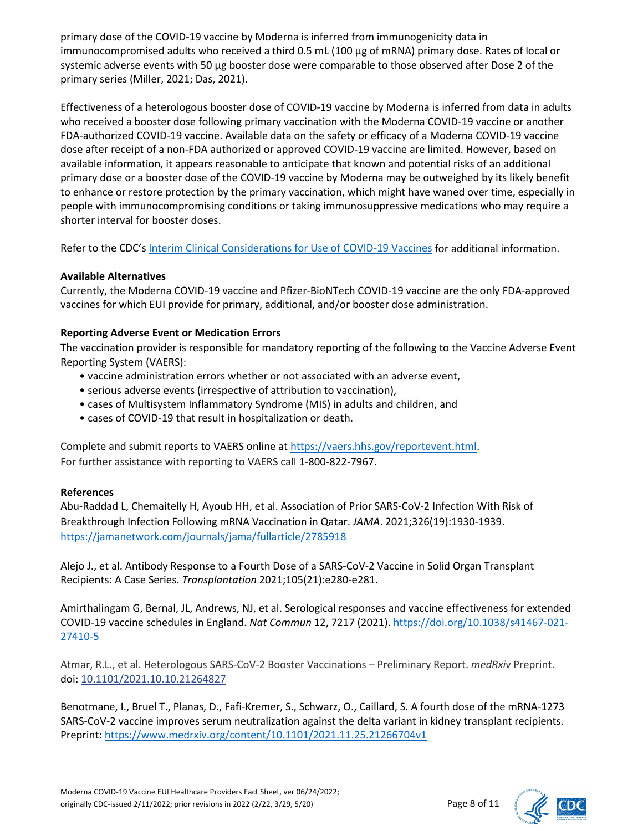primary dose of the COVID-19 vaccine by Moderna is inferred from immunogenicity data in immunocompromised adults who received a third 0.5 mL (100 μg of mRNA) primary dose. Rates of local or systemic adverse events with 50 μg booster dose were comparable to those observed after Dose 2 of the primary series (Miller, 2021; Das, 2021).

Effectiveness of a heterologous booster dose of COVID-19 vaccine by Moderna is inferred from data in adults who received a booster dose following primary vaccination with the Moderna COVID-19 vaccine or another FDA-authorized COVID-19 vaccine. Available data on the safety or efficacy of a Moderna COVID-19 vaccine dose after receipt of a non-FDA authorized or approved COVID-19 vaccine are limited. However, based on available information, it appears reasonable to anticipate that known and potential risks of an additional primary dose or a booster dose of the COVID-19 vaccine by Moderna may be outweighed by its likely benefit to enhance or restore protection by the primary vaccination, which might have waned over time, especially in people with immunocompromising conditions or taking immunosuppressive medications who may require a shorter interval for booster doses.

Refer to the CDC'[s Interim Clinical Considerations for Use of COVID-19 Vaccines](https://www.cdc.gov/vaccines/covid-19/clinical-considerations/covid-19-vaccines-us.html#overview-covid19-vax-recommendations) for additional information.

#### **Available Alternatives**

Currently, the Moderna COVID-19 vaccine and Pfizer-BioNTech COVID-19 vaccine are the only FDA-approved vaccines for which EUI provide for primary, additional, and/or booster dose administration.

#### **Reporting Adverse Event or Medication Errors**

The vaccination provider is responsible for mandatory reporting of the following to the Vaccine Adverse Event Reporting System (VAERS):

- vaccine administration errors whether or not associated with an adverse event,
- serious adverse events (irrespective of attribution to vaccination),
- cases of Multisystem Inflammatory Syndrome (MIS) in adults and children, and
- cases of COVID-19 that result in hospitalization or death.

Complete and submit reports to VAERS online a[t https://vaers.hhs.gov/reportevent.html.](https://vaers.hhs.gov/reportevent.html) For further assistance with reporting to VAERS call 1-800-822-7967.

#### **References**

Abu-Raddad L, Chemaitelly H, Ayoub HH, et al. Association of Prior SARS-CoV-2 Infection With Risk of Breakthrough Infection Following mRNA Vaccination in Qatar. *JAMA*. 2021;326(19):1930-1939. <https://jamanetwork.com/journals/jama/fullarticle/2785918>

Alejo J., et al. Antibody Response to a Fourth Dose of a SARS-CoV-2 Vaccine in Solid Organ Transplant Recipients: A Case Series. *Transplantation* 2021;105(21):e280-e281.

Amirthalingam G, Bernal, JL, Andrews, NJ, et al. Serological responses and vaccine effectiveness for extended COVID-19 vaccine schedules in England. *Nat Commun* 12, 7217 (2021)[. https://doi.org/10.1038/s41467-021-](https://doi.org/10.1038/s41467-021-27410-5) [27410-5](https://doi.org/10.1038/s41467-021-27410-5)

Atmar, R.L., et al. Heterologous SARS-CoV-2 Booster Vaccinations – Preliminary Report. *medRxiv* Preprint. doi: [10.1101/2021.10.10.21264827](https://dx.doi.org/10.1101%2F2021.10.10.21264827)

Benotmane, I., Bruel T., Planas, D., Fafi-Kremer, S., Schwarz, O., Caillard, S. A fourth dose of the mRNA-1273 SARS-CoV-2 vaccine improves serum neutralization against the delta variant in kidney transplant recipients. Preprint[: https://www.medrxiv.org/content/10.1101/2021.11.25.21266704v1](https://www.medrxiv.org/content/10.1101/2021.11.25.21266704v1)

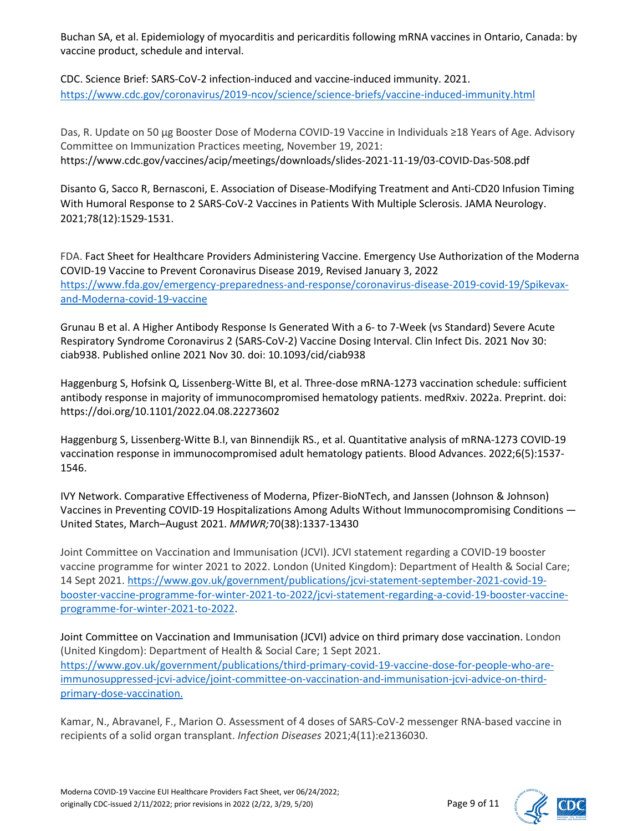Buchan SA, et al. Epidemiology of myocarditis and pericarditis following mRNA vaccines in Ontario, Canada: by vaccine product, schedule and interval.

CDC. Science Brief: SARS-CoV-2 infection-induced and vaccine-induced immunity. 2021. <https://www.cdc.gov/coronavirus/2019-ncov/science/science-briefs/vaccine-induced-immunity.html>

Das, R. Update on 50 µg Booster Dose of Moderna COVID-19 Vaccine in Individuals ≥18 Years of Age. Advisory Committee on Immunization Practices meeting, November 19, 2021: https://www.cdc.gov/vaccines/acip/meetings/downloads/slides-2021-11-19/03-COVID-Das-508.pdf

Disanto G, Sacco R, Bernasconi, E. Association of Disease-Modifying Treatment and Anti-CD20 Infusion Timing With Humoral Response to 2 SARS-CoV-2 Vaccines in Patients With Multiple Sclerosis. JAMA Neurology. 2021;78(12):1529-1531.

FDA. Fact Sheet for Healthcare Providers Administering Vaccine. Emergency Use Authorization of the Moderna COVID-19 Vaccine to Prevent Coronavirus Disease 2019, Revised January 3, 2022 [https://www.fda.gov/emergency-preparedness-and-response/coronavirus-disease-2019-covid-19/Spikevax](https://www.fda.gov/emergency-preparedness-and-response/coronavirus-disease-2019-covid-19/comirnaty-and-pfizer-biontech-covid-19-vaccine)[and-Moderna-covid-19-vaccine](https://www.fda.gov/emergency-preparedness-and-response/coronavirus-disease-2019-covid-19/comirnaty-and-pfizer-biontech-covid-19-vaccine)

Grunau B et al. A Higher Antibody Response Is Generated With a 6- to 7-Week (vs Standard) Severe Acute Respiratory Syndrome Coronavirus 2 (SARS-CoV-2) Vaccine Dosing Interval. Clin Infect Dis. 2021 Nov 30: ciab938. Published online 2021 Nov 30. doi: 10.1093/cid/ciab938

Haggenburg S, Hofsink Q, Lissenberg-Witte BI, et al. Three-dose mRNA-1273 vaccination schedule: sufficient antibody response in majority of immunocompromised hematology patients. medRxiv. 2022a. Preprint. doi: https://doi.org/10.1101/2022.04.08.22273602

Haggenburg S, Lissenberg-Witte B.I, van Binnendijk RS., et al. Quantitative analysis of mRNA-1273 COVID-19 vaccination response in immunocompromised adult hematology patients. Blood Advances. 2022;6(5):1537- 1546.

IVY Network. Comparative Effectiveness of Moderna, Pfizer-BioNTech, and Janssen (Johnson & Johnson) Vaccines in Preventing COVID-19 Hospitalizations Among Adults Without Immunocompromising Conditions — United States, March–August 2021. *MMWR;*70(38):1337-13430

Joint Committee on Vaccination and Immunisation (JCVI). JCVI statement regarding a COVID-19 booster vaccine programme for winter 2021 to 2022. London (United Kingdom): Department of Health & Social Care; 14 Sept 2021. [https://www.gov.uk/government/publications/jcvi-statement-september-2021-covid-19](https://www.gov.uk/government/publications/jcvi-statement-september-2021-covid-19-booster-vaccine-programme-for-winter-2021-to-2022/jcvi-statement-regarding-a-covid-19-booster-vaccine-programme-for-winter-2021-to-2022) [booster-vaccine-programme-for-winter-2021-to-2022/jcvi-statement-regarding-a-covid-19-booster-vaccine](https://www.gov.uk/government/publications/jcvi-statement-september-2021-covid-19-booster-vaccine-programme-for-winter-2021-to-2022/jcvi-statement-regarding-a-covid-19-booster-vaccine-programme-for-winter-2021-to-2022)[programme-for-winter-2021-to-2022.](https://www.gov.uk/government/publications/jcvi-statement-september-2021-covid-19-booster-vaccine-programme-for-winter-2021-to-2022/jcvi-statement-regarding-a-covid-19-booster-vaccine-programme-for-winter-2021-to-2022)

Joint Committee on Vaccination and Immunisation (JCVI) advice on third primary dose vaccination. London (United Kingdom): Department of Health & Social Care; 1 Sept 2021. [https://www.gov.uk/government/publications/third-primary-covid-19-vaccine-dose-for-people-who-are](https://www.gov.uk/government/publications/third-primary-covid-19-vaccine-dose-for-people-who-are-immunosuppressed-jcvi-advice/joint-committee-on-vaccination-and-immunisation-jcvi-advice-on-third-primary-dose-vaccination.%2010)[immunosuppressed-jcvi-advice/joint-committee-on-vaccination-and-immunisation-jcvi-advice-on-third](https://www.gov.uk/government/publications/third-primary-covid-19-vaccine-dose-for-people-who-are-immunosuppressed-jcvi-advice/joint-committee-on-vaccination-and-immunisation-jcvi-advice-on-third-primary-dose-vaccination.%2010)[primary-dose-vaccination.](https://www.gov.uk/government/publications/third-primary-covid-19-vaccine-dose-for-people-who-are-immunosuppressed-jcvi-advice/joint-committee-on-vaccination-and-immunisation-jcvi-advice-on-third-primary-dose-vaccination.%2010) 

Kamar, N., Abravanel, F., Marion O. Assessment of 4 doses of SARS-CoV-2 messenger RNA-based vaccine in recipients of a solid organ transplant. *Infection Diseases* 2021;4(11):e2136030.

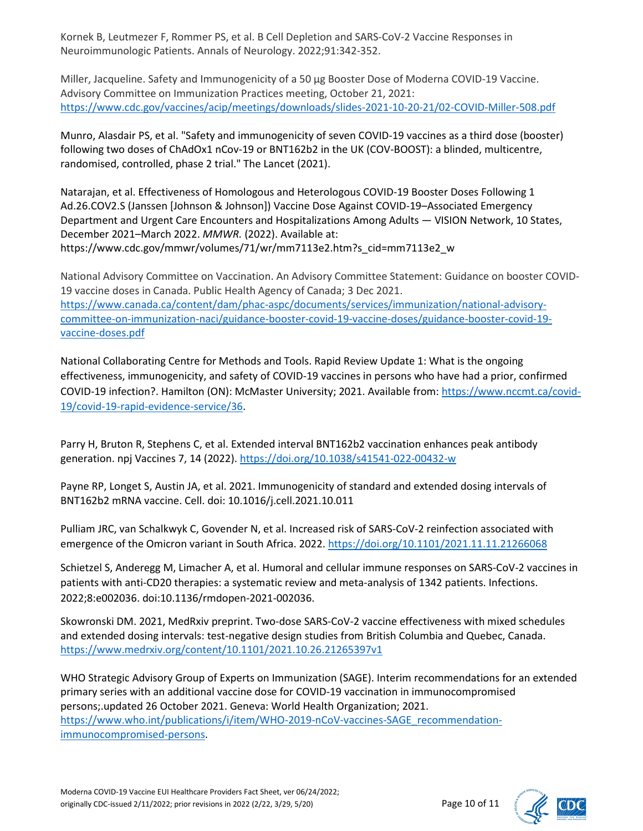Kornek B, Leutmezer F, Rommer PS, et al. B Cell Depletion and SARS-CoV-2 Vaccine Responses in Neuroimmunologic Patients. Annals of Neurology. 2022;91:342-352.

Miller, Jacqueline. Safety and Immunogenicity of a 50 µg Booster Dose of Moderna COVID-19 Vaccine. Advisory Committee on Immunization Practices meeting, October 21, 2021: <https://www.cdc.gov/vaccines/acip/meetings/downloads/slides-2021-10-20-21/02-COVID-Miller-508.pdf>

Munro, Alasdair PS, et al. "Safety and immunogenicity of seven COVID-19 vaccines as a third dose (booster) following two doses of ChAdOx1 nCov-19 or BNT162b2 in the UK (COV-BOOST): a blinded, multicentre, randomised, controlled, phase 2 trial." The Lancet (2021).

Natarajan, et al. Effectiveness of Homologous and Heterologous COVID-19 Booster Doses Following 1 Ad.26.COV2.S (Janssen [Johnson & Johnson]) Vaccine Dose Against COVID-19–Associated Emergency Department and Urgent Care Encounters and Hospitalizations Among Adults — VISION Network, 10 States, December 2021–March 2022. *MMWR.* (2022). Available at: https://www.cdc.gov/mmwr/volumes/71/wr/mm7113e2.htm?s\_cid=mm7113e2\_w

National Advisory Committee on Vaccination. An Advisory Committee Statement: Guidance on booster COVID-19 vaccine doses in Canada. Public Health Agency of Canada; 3 Dec 2021. [https://www.canada.ca/content/dam/phac-aspc/documents/services/immunization/national-advisory](https://www.canada.ca/content/dam/phac-aspc/documents/services/immunization/national-advisory-committee-on-immunization-naci/guidance-booster-covid-19-vaccine-doses/guidance-booster-covid-19-vaccine-doses.pdf)[committee-on-immunization-naci/guidance-booster-covid-19-vaccine-doses/guidance-booster-covid-19](https://www.canada.ca/content/dam/phac-aspc/documents/services/immunization/national-advisory-committee-on-immunization-naci/guidance-booster-covid-19-vaccine-doses/guidance-booster-covid-19-vaccine-doses.pdf) [vaccine-doses.pdf](https://www.canada.ca/content/dam/phac-aspc/documents/services/immunization/national-advisory-committee-on-immunization-naci/guidance-booster-covid-19-vaccine-doses/guidance-booster-covid-19-vaccine-doses.pdf)

National Collaborating Centre for Methods and Tools. Rapid Review Update 1: What is the ongoing effectiveness, immunogenicity, and safety of COVID-19 vaccines in persons who have had a prior, confirmed COVID-19 infection?. Hamilton (ON): McMaster University; 2021. Available from[: https://www.nccmt.ca/covid-](https://www.nccmt.ca/covid-19/covid-19-rapid-evidence-service/36)[19/covid-19-rapid-evidence-service/36.](https://www.nccmt.ca/covid-19/covid-19-rapid-evidence-service/36)

Parry H, Bruton R, Stephens C, et al. Extended interval BNT162b2 vaccination enhances peak antibody generation. npj Vaccines 7, 14 (2022)[. https://doi.org/10.1038/s41541-022-00432-w](https://doi.org/10.1038/s41541-022-00432-w)

Payne RP, Longet S, Austin JA, et al. 2021. Immunogenicity of standard and extended dosing intervals of BNT162b2 mRNA vaccine. Cell. doi: 10.1016/j.cell.2021.10.011

Pulliam JRC, van Schalkwyk C, Govender N, et al. Increased risk of SARS-CoV-2 reinfection associated with emergence of the Omicron variant in South Africa. 2022[. https://doi.org/10.1101/2021.11.11.21266068](https://doi.org/10.1101/2021.11.11.21266068)

Schietzel S, Anderegg M, Limacher A, et al. Humoral and cellular immune responses on SARS-CoV-2 vaccines in patients with anti-CD20 therapies: a systematic review and meta-analysis of 1342 patients. Infections. 2022;8:e002036. doi:10.1136/rmdopen-2021-002036.

Skowronski DM. 2021, MedRxiv preprint. Two-dose SARS-CoV-2 vaccine effectiveness with mixed schedules and extended dosing intervals: test-negative design studies from British Columbia and Quebec, Canada. <https://www.medrxiv.org/content/10.1101/2021.10.26.21265397v1>

WHO Strategic Advisory Group of Experts on Immunization (SAGE). Interim recommendations for an extended primary series with an additional vaccine dose for COVID-19 vaccination in immunocompromised persons;.updated 26 October 2021. Geneva: World Health Organization; 2021. [https://www.who.int/publications/i/item/WHO-2019-nCoV-vaccines-SAGE\\_recommendation](https://www.who.int/publications/i/item/WHO-2019-nCoV-vaccines-SAGE_recommendation-immunocompromised-persons)[immunocompromised-persons.](https://www.who.int/publications/i/item/WHO-2019-nCoV-vaccines-SAGE_recommendation-immunocompromised-persons)